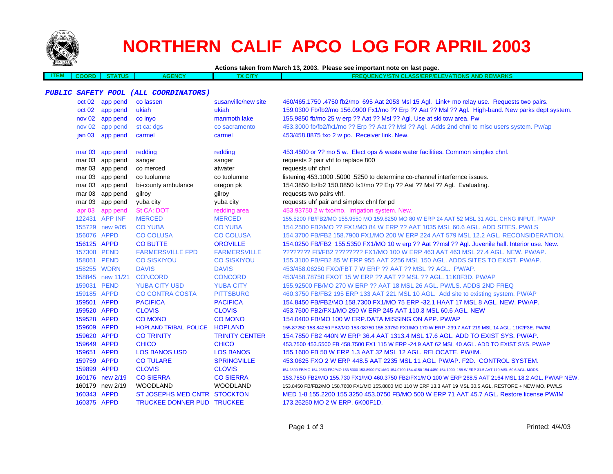

 $\overline{\phantom{a}}$ 

## **NORTHERN CALIF APCO LOG FOR APRIL 2003**

| Actions taken from March 13, 2003. Please see important note on last page. |  |  |
|----------------------------------------------------------------------------|--|--|
|                                                                            |  |  |

| -171 | DRI | <br><b>ENCY</b><br>АG |  | $\sim$<br>וווכ<br>.<br>. | <b>TIONS</b><br><b>ASS/ET</b><br>- 67 A S<br>3P/E<br>$\cdots$ | <b>SAID BA</b><br>$\mathbf{v}$<br>- MENNING |
|------|-----|-----------------------|--|--------------------------|---------------------------------------------------------------|---------------------------------------------|
|      |     |                       |  |                          |                                                               |                                             |

## **PUBLIC SAFETY POOL (ALL COORDINATORS)**

| oct 02            | app pend         | co lassen                    | susanville/new site   | 460/465.1750.4750 fb2/mo 695 Aat 2053 Msl 15 Agl. Link+ mo relay use. Requests two pairs.                                              |
|-------------------|------------------|------------------------------|-----------------------|----------------------------------------------------------------------------------------------------------------------------------------|
| oct 02            | app pend         | ukiah                        | ukiah                 | 159.0300 Fb/fb2/mo 156.0900 Fx1/mo ?? Erp ?? Aat ?? Msl ?? Agl. High-band. New parks dept system.                                      |
| nov 02            | app pend         | co inyo                      | manmoth lake          | 155.9850 fb/mo 25 w erp ?? Aat ?? Msl ?? Agl. Use at ski tow area. Pw                                                                  |
| nov 02            | app pend         | st ca: dgs                   | co sacramento         | 453.3000 fb/fb2/fx1/mo ?? Erp ?? Aat ?? Msl ?? Agl. Adds 2nd chnl to misc users system. Pw/ap                                          |
|                   | jan 03 app pend  | carmel                       | carmel                | 453/458.8875 fxo 2 w po. Receiver link. New.                                                                                           |
|                   | mar 03 app pend  | redding                      | redding               | 453.4500 or ?? mo 5 w. Elect ops & waste water facilities. Common simplex chnl.                                                        |
|                   | mar 03 app pend  | sanger                       | sanger                | requests 2 pair vhf to replace 800                                                                                                     |
| mar 03            | app pend         | co merced                    | atwater               | requests uhf chnl                                                                                                                      |
| mar 03            | app pend         | co tuolumne                  | co tuolumne           | listening 453.1000 .5000 .5250 to determine co-channel interfernce issues.                                                             |
|                   | mar 03 app pend  | bi-county ambulance          | oregon pk             | 154.3850 fb/fb2 150.0850 fx1/mo ?? Erp ?? Aat ?? Msl ?? Agl. Evaluating.                                                               |
| mar 03            | app pend         | gilroy                       | gilroy                | requests two pairs vhf.                                                                                                                |
| mar 03            | app pend         | yuba city                    | yuba city             | requests uhf pair and simplex chnl for pd                                                                                              |
| apr <sub>03</sub> | app pend         | St CA: DOT                   | redding area          | 453.93750 2 w fxo/mo. Irrigation system. New.                                                                                          |
|                   | 122431 APP INF   | <b>MERCED</b>                | <b>MERCED</b>         | 155.5200 FB/FB2/MO 155.9550 MO 159.8250 MO 80 W ERP 24 AAT 52 MSL 31 AGL. CHNG INPUT. PW/AP                                            |
|                   | 155729 new 9/05  | <b>CO YUBA</b>               | <b>CO YUBA</b>        | 154,2500 FB2/MO ?? FX1/MO 84 W ERP ?? AAT 1035 MSL 60.6 AGL, ADD SITES, PW/LS                                                          |
| 156076 APPD       |                  | <b>CO COLUSA</b>             | <b>CO COLUSA</b>      | 154.3700 FB/FB2 158.7900 FX1/MO 200 W ERP 224 AAT 579 MSL 12.2 AGL. RECONSIDERATION.                                                   |
| 156125 APPD       |                  | <b>CO BUTTE</b>              | <b>OROVILLE</b>       | 154.0250 FB/FB2 155.5350 FX1/MO 10 w erp ?? Aat ??msl ?? Agl. Juvenile hall. Interior use. New.                                        |
| 157308 PEND       |                  | <b>FARMERSVILLE FPD</b>      | <b>FARMERSVILLE</b>   | ???????? FB/FB2 ???????? FX1/MO 100 W ERP 463 AAT 463 MSL 27.4 AGL. NEW. PW/AP.                                                        |
| 158061 PEND       |                  | <b>CO SISKIYOU</b>           | <b>CO SISKIYOU</b>    | 155,3100 FB/FB2 85 W ERP 955 AAT 2256 MSL 150 AGL, ADDS SITES TO EXIST, PW/AP.                                                         |
|                   | 158255 WDRN      | <b>DAVIS</b>                 | <b>DAVIS</b>          | 453/458.06250 FXO/FBT 7 W ERP ?? AAT ?? MSL ?? AGL. PW/AP.                                                                             |
|                   | 158845 new 11/21 | <b>CONCORD</b>               | <b>CONCORD</b>        | 453/458.78750 FXOT 15 W ERP ?? AAT ?? MSL ?? AGL, 11K0F3D, PW/AP                                                                       |
| 159031 PEND       |                  | <b>YUBA CITY USD</b>         | <b>YUBA CITY</b>      | 155.92500 FB/MO 270 W ERP ?? AAT 18 MSL 26 AGL. PW/LS. ADDS 2ND FREQ                                                                   |
| 159185 APPD       |                  | <b>CO CONTRA COSTA</b>       | <b>PITTSBURG</b>      | 460.3750 FB/FB2 195 ERP 133 AAT 221 MSL 10 AGL. Add site to existing system. PW/AP                                                     |
| 159501 APPD       |                  | <b>PACIFICA</b>              | <b>PACIFICA</b>       | 154.8450 FB/FB2/MO 158.7300 FX1/MO 75 ERP -32.1 HAAT 17 MSL 8 AGL. NEW. PW/AP.                                                         |
| 159520 APPD       |                  | <b>CLOVIS</b>                | <b>CLOVIS</b>         | 453.7500 FB2/FX1/MO 250 W ERP 245 AAT 110.3 MSL 60.6 AGL. NEW                                                                          |
| 159528 APPD       |                  | <b>CO MONO</b>               | <b>CO MONO</b>        | 154.0400 FB/MO 100 W ERP.DATA MISSING ON APP. PW/AP                                                                                    |
| 159609 APPD       |                  | HOPLAND TRIBAL POLICE        | <b>HOPLAND</b>        | 155.87250 158.84250 FB2/MO 153.08750 155.39750 FX1/MO 170 W ERP -239.7 AAT 219 MSL 14 AGL. 11K2F3E. PW/IM.                             |
| 159620 APPD       |                  | <b>CO TRINITY</b>            | <b>TRINITY CENTER</b> | 154.7850 FB2 440N W ERP 36.4 AAT 1313.4 MSL 17.6 AGL. ADD TO EXIST SYS. PW/AP.                                                         |
| 159649 APPD       |                  | <b>CHICO</b>                 | <b>CHICO</b>          | 453.7500 453.5500 FB 458.7500 FX1 115 W ERP -24.9 AAT 62 MSL 40 AGL. ADD TO EXIST SYS. PW/AP                                           |
| 159651 APPD       |                  | <b>LOS BANOS USD</b>         | <b>LOS BANOS</b>      | 155.1600 FB 50 W ERP 1.3 AAT 32 MSL 12 AGL. RELOCATE. PW/IM.                                                                           |
| 159759 APPD       |                  | <b>CO TULARE</b>             | <b>SPRINGVILLE</b>    | 453.0625 FXO 2 W ERP 448.5 AAT 2235 MSL 11 AGL. PW/AP. F2D. CONTROL SYSTEM.                                                            |
| 159899 APPD       |                  | <b>CLOVIS</b>                | <b>CLOVIS</b>         | 154.2800 FB/MO 154.2350 FB2/MO 153.8300 153.8900 FX1/MO 154.0700 154.4150 154.4450 154.1900 158 W ERP 31.5 AAT 110 MSL 60.6 AGL. MODS. |
|                   | 160176 new 2/19  | <b>CO SIERRA</b>             | <b>CO SIERRA</b>      | 153.7850 FB2/MO 155.730 FX1/MO 460.3750 FB2/FX1/MO 100 W ERP 268.5 AAT 2164 MSL 18.2 AGL. PW/AP NEW.                                   |
|                   | 160179 new 2/19  | <b>WOODLAND</b>              | <b>WOODLAND</b>       | 153.8450 FB/FB2/MO 158.7600 FX1/MO 155.8800 MO 110 W ERP 13.3 AAT 19 MSL 30.5 AGL. RESTORE + NEW MO. PW/LS                             |
| 160343 APPD       |                  | ST JOSEPHS MED CNTR STOCKTON |                       | MED 1-8 155.2200 155.3250 453.0750 FB/MO 500 W ERP 71 AAT 45.7 AGL. Restore license PW/IM                                              |
| 160375 APPD       |                  | TRUCKEE DONNER PUD TRUCKEE   |                       | 173.26250 MO 2 W ERP. 6K00F1D.                                                                                                         |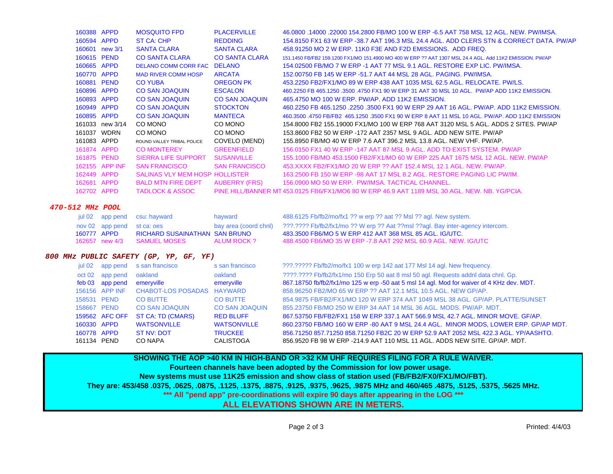| 160388 APPD |                 | <b>MOSQUITO FPD</b>            | <b>PLACERVILLE</b>    | 46.0800 .14000 .22000 154.2800 FB/MO 100 W ERP -6.5 AAT 758 MSL 12 AGL. NEW, PW/IMSA.                    |
|-------------|-----------------|--------------------------------|-----------------------|----------------------------------------------------------------------------------------------------------|
| 160594 APPD |                 | ST CA: CHP                     | <b>REDDING</b>        | 154.8150 FX1 63 W ERP -38.7 AAT 196.3 MSL 24.4 AGL. ADD CLERS STN & CORRECT DATA. PW/AP                  |
|             | 160601 new 3/1  | <b>SANTA CLARA</b>             | <b>SANTA CLARA</b>    | 458.91250 MO 2 W ERP. 11K0 F3E AND F2D EMISSIONS. ADD FREQ.                                              |
| 160615 PEND |                 | <b>CO SANTA CLARA</b>          | <b>CO SANTA CLARA</b> | 151.1450 FB/FB2 159.1200 FX1/MO 151.4900 MO 400 W ERP ?? AAT 1307 MSL 24.4 AGL. Add 11K2 EMISSION, PW/AP |
| 160665 APPD |                 | DELANO COMM CORR FAC DELANO    |                       | 154,02500 FB/MO 7 W ERP -1 AAT 77 MSL 9.1 AGL, RESTORE EXP LIC, PW/IMSA.                                 |
| 160770 APPD |                 | <b>MAD RIVER COMM HOSP</b>     | <b>ARCATA</b>         | 152,00750 FB 145 W ERP -51.7 AAT 44 MSL 28 AGL, PAGING, PW/IMSA,                                         |
| 160881 PEND |                 | <b>CO YUBA</b>                 | <b>OREGON PK</b>      | 453.2250 FB2/FX1/MO 89 W ERP 438 AAT 1035 MSL 62.5 AGL. RELOCATE, PW/LS.                                 |
| 160896 APPD |                 | <b>CO SAN JOAQUIN</b>          | <b>ESCALON</b>        | 460.2250 FB 465.1250 .3500 .4750 FX1 90 W ERP 31 AAT 30 MSL 10 AGL. PW/AP ADD 11K2 EMISSION.             |
| 160893 APPD |                 | <b>CO SAN JOAQUIN</b>          | <b>CO SAN JOAQUIN</b> | 465,4750 MO 100 W ERP, PW/AP, ADD 11K2 EMISSION.                                                         |
| 160949 APPD |                 | <b>CO SAN JOAQUIN</b>          | <b>STOCKTON</b>       | 460.2250 FB 465.1250 .2250 .3500 FX1 90 W ERP 29 AAT 16 AGL, PW/AP, ADD 11K2 EMISSION.                   |
| 160895 APPD |                 | <b>CO SAN JOAQUIN</b>          | <b>MANTECA</b>        | 460.3500 .4750 FB/FB2 465.1250 .3500 FX1 90 W ERP 8 AAT 11 MSL 10 AGL, PW/AP, ADD 11K2 EMISSION          |
|             | 161033 new 3/14 | CO MONO                        | CO MONO               | 154,8000 FB2 155,19000 FX1/MO 100 W ERP 768 AAT 3120 MSL 5 AGL. ADDS 2 SITES, PW/AP                      |
|             | 161037 WDRN     | CO MONO                        | CO MONO               | 153,8600 FB2 50 W ERP -172 AAT 2357 MSL 9 AGL, ADD NEW SITE, PW/AP                                       |
| 161083 APPD |                 | ROUND VALLEY TRIBAL POLICE     | COVELO (MEND)         | 155,8950 FB/MO 40 W ERP 7.6 AAT 396.2 MSL 13.8 AGL, NEW VHF, PW/AP,                                      |
| 161874 APPD |                 | <b>CO MONTEREY</b>             | <b>GREENFIELD</b>     | 156,0150 FX1 40 W ERP -147 AAT 87 MSL 9 AGL, ADD TO EXIST SYSTEM, PW/AP                                  |
|             | 161875 PEND     | SIERRA LIFE SUPPORT            | <b>SUSANVILLE</b>     | 155,1000 FB/MO 453,1500 FB2/FX1/MO 60 W ERP 225 AAT 1675 MSL 12 AGL, NEW, PW/AP                          |
|             | 162155 APP INF  | <b>SAN FRANCISCO</b>           | <b>SAN FRANCISCO</b>  | 453.XXXX FB2/FX1/MO 20 W ERP ?? AAT 152.4 MSL 12.1 AGL, NEW, PW/AP,                                      |
| 162449 APPD |                 | SALINAS VLY MEM HOSP HOLLISTER |                       | 163,2500 FB 150 W ERP -98 AAT 17 MSL 8.2 AGL, RESTORE PAGING LIC PW/IM.                                  |
| 162681 APPD |                 | <b>BALD MTN FIRE DEPT</b>      | <b>AUBERRY (FRS)</b>  | 156,0900 MO 50 W ERP. PW/IMSA, TACTICAL CHANNEL.                                                         |
| 162702 APPD |                 | <b>TADLOCK &amp; ASSOC</b>     |                       | PINE HILL/BANNER MT 453.0125 FB6/FX1/MO6 80 W ERP 46.9 AAT 1189 MSL 30 AGL. NEW, NB, YG/PCIA,            |
|             |                 |                                |                       |                                                                                                          |

## **470-512 MHz POOL**

|             |                            | jul 02 app pend csu: hayward  | hayward     | 488.6125 Fb/fb2/mo/fx1 ?? w erp ?? aat ?? Msl ?? agl. New system.                                    |
|-------------|----------------------------|-------------------------------|-------------|------------------------------------------------------------------------------------------------------|
|             | nov 02 app pend st ca: oes |                               |             | bay area (coord chnl) 2??.???? Fb/fb2/fx1/mo ?? W erp ?? Aat ??msl ??agl. Bay inter-agency intercom. |
| 160777 APPD |                            | RICHARD SUSAINATHAN SAN BRUNO |             | 483.3500 FB6/MO 5 W ERP 412 AAT 368 MSL 85 AGL. IG/UTC.                                              |
|             |                            | 162657 new 4/3 SAMUEL MOSES   | ALUM ROCK ? | - 488.4500 FB6/MO 35 W ERP -7.8 AAT 292 MSL 60.9 AGL. NEW. IG/UTC -                                  |

## **800 MHz PUBLIC SAFETY (GP, YP, GF, YF)**

| jul 02 |                 | app pend s san francisco   | s san francisco       | ???.????? Fb/fb2/mo/fx1 100 w erp 142 aat 177 Msl 14 agl. New frequency.                  |
|--------|-----------------|----------------------------|-----------------------|-------------------------------------------------------------------------------------------|
|        | oct 02 app pend | oakland                    | oakland               | ????.???? Fb/fb2/fx1/mo 150 Erp 50 aat 8 msl 50 agl. Requests addnl data chnl. Gp.        |
|        | feb 03 app pend | emeryville                 | emeryville            | 867.18750 fb/fb2/fx1/mo 125 w erp -50 aat 5 msl 14 agl. Mod for waiver of 4 KHz dev. MDT. |
|        | 156156 APP INF  | CHABOT-LOS POSADAS HAYWARD |                       | 858,96250 FB2/MO 65 W ERP ?? AAT 12.1 MSL 10.5 AGL. NEW GP/AP.                            |
|        | 158531 PEND     | <b>CO BUTTE</b>            | <b>CO BUTTE</b>       | 854,9875 FB/FB2/FX1/MO 120 W ERP 374 AAT 1049 MSL 38 AGL, GP/AP, PLATTE/SUNSET            |
|        | 158667 PEND     | <b>CO SAN JOAQUIN</b>      | <b>CO SAN JOAQUIN</b> | 855,23750 FB/MO 250 W ERP 34 AAT 14 MSL 36 AGL, MODS, PW/AP, MDT,                         |
|        | 159562 AFC OFF  | ST CA: TD (CMARS)          | <b>RED BLUFF</b>      | 867.53750 FB/FB2/FX1 158 W ERP 337.1 AAT 566.9 MSL 42.7 AGL, MINOR MOVE, GF/AP,           |
|        | 160330 APPD     | <b>WATSONVILLE</b>         | <b>WATSONVILLE</b>    | 860.23750 FB/MO 160 W ERP -80 AAT 9 MSL 24.4 AGL. MINOR MODS, LOWER ERP. GP/AP MDT.       |
|        | 160778 APPD     | ST NV: DOT                 | <b>TRUCKEE</b>        | 856.71250 857.71250 858.71250 FB2C 20 W ERP 52.9 AAT 2052 MSL 422.3 AGL, YP/AASHTO.       |
|        | 161134 PEND     | CO NAPA                    | CALISTOGA             | 856,9520 FB 98 W ERP -214.9 AAT 110 MSL 11 AGL. ADDS NEW SITE, GP/AP, MDT,                |

**SHOWING THE AOP >40 KM IN HIGH-BAND OR >32 KM UHF REQUIRES FILING FOR A RULE WAIVER. Fourteen channels have been adopted by the Commission for low power usage. New systems must use 11K25 emission and show class of station used (FB/FB2/FX0/FX1/MO/FBT). They are: 453/458 .0375, .0625, .0875, .1125, .1375, .8875, .9125, .9375, .9625, .9875 MHz and 460/465 .4875, .5125, .5375, .5625 MHz. \*\*\* All "pend app" pre-coordinations will expire 90 days after appearing in the LOG \*\*\* ALL ELEVATIONS SHOWN ARE IN METERS.**